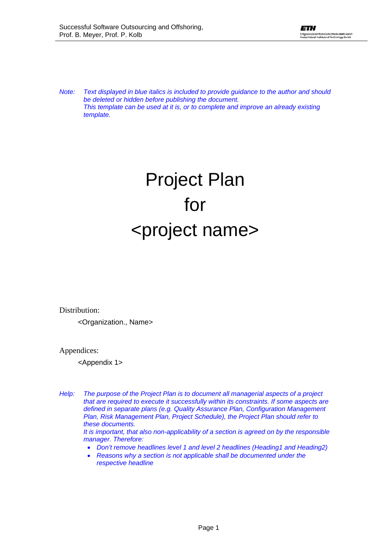*Note: Text displayed in blue italics is included to provide guidance to the author and should be deleted or hidden before publishing the document. This template can be used at it is, or to complete and improve an already existing template.* 

# Project Plan for <project name>

Distribution:

<Organization., Name>

Appendices:

<Appendix 1>

- *Help: The purpose of the Project Plan is to document all managerial aspects of a project that are required to execute it successfully within its constraints. If some aspects are defined in separate plans (e.g. Quality Assurance Plan, Configuration Management Plan, Risk Management Plan, Project Schedule), the Project Plan should refer to these documents. It is important, that also non-applicability of a section is agreed on by the responsible manager. Therefore:* 
	- *Don't remove headlines level 1 and level 2 headlines (Heading1 and Heading2)*
	- *Reasons why a section is not applicable shall be documented under the respective headline*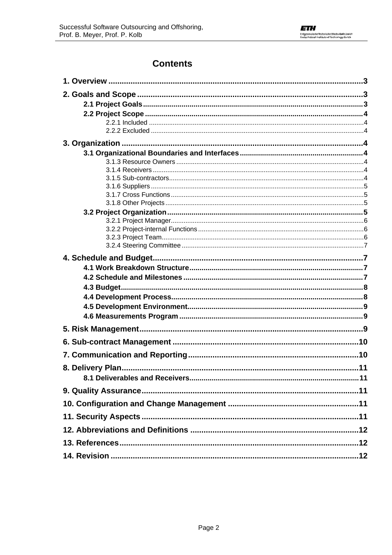## **Contents**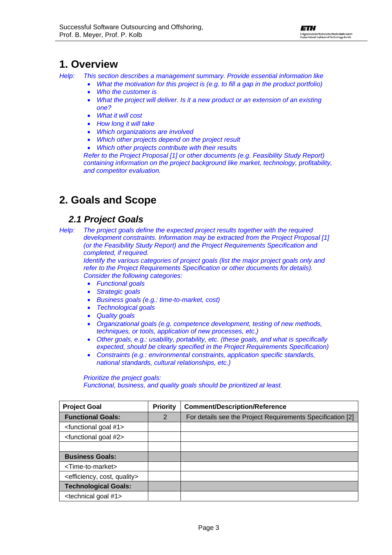### <span id="page-2-0"></span>**1. Overview**

*Help: This section describes a management summary. Provide essential information like* 

- *What the motivation for this project is (e.g. to fill a gap in the product portfolio)*
- *Who the customer is*
- *What the project will deliver. Is it a new product or an extension of an existing one?*
- *What it will cost*
- *How long it will take*
- *Which organizations are involved*
- *Which other projects depend on the project result*
- *Which other projects contribute with their results*

*Refer to the Project Proposal [1] or other documents (e.g. Feasibility Study Report) containing information on the project background like market, technology, profitability, and competitor evaluation.*

# **2. Goals and Scope**

### *2.1 Project Goals*

*Help: The project goals define the expected project results together with the required development constraints. Information may be extracted from the Project Proposal [\[1\]](#page-11-1)  (or the Feasibility Study Report) and the Project Requirements Specification and completed, if required.* 

*Identify the various categories of project goals (list the major project goals only and refer to the Project Requirements Specification or other documents for details). Consider the following categories:* 

- *Functional goals*
- *Strategic goals*
- *Business goals (e.g.: time-to-market, cost)*
- *Technological goals*
- *Quality goals*
- *Organizational goals (e.g. competence development, testing of new methods, techniques, or tools, application of new processes, etc.)*
- *Other goals, e.g.: usability, portability, etc. (these goals, and what is specifically expected, should be clearly specified in the Project Requirements Specification)*
- *Constraints (e.g.: environmental constraints, application specific standards, national standards, cultural relationships, etc.)*

*Prioritize the project goals: Functional, business, and quality goals should be prioritized at least.* 

| <b>Project Goal</b>                             | <b>Priority</b> | <b>Comment/Description/Reference</b>                       |
|-------------------------------------------------|-----------------|------------------------------------------------------------|
| <b>Functional Goals:</b>                        | 2               | For details see the Project Requirements Specification [2] |
| <functional #1="" goal=""></functional>         |                 |                                                            |
| <functional #2="" goal=""></functional>         |                 |                                                            |
|                                                 |                 |                                                            |
| <b>Business Goals:</b>                          |                 |                                                            |
| <time-to-market></time-to-market>               |                 |                                                            |
| <efficiency, cost,="" quality=""></efficiency,> |                 |                                                            |
| <b>Technological Goals:</b>                     |                 |                                                            |
| <technical #1="" goal=""></technical>           |                 |                                                            |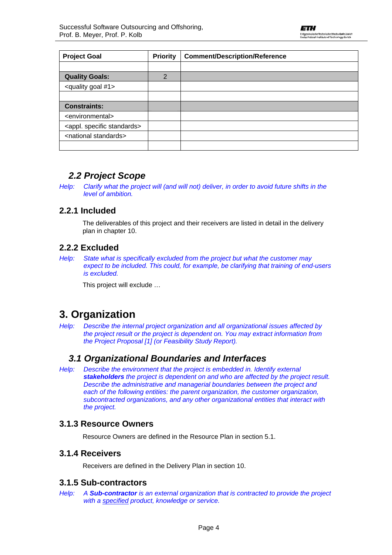<span id="page-3-0"></span>

| <b>Project Goal</b>                      | <b>Priority</b> | <b>Comment/Description/Reference</b> |
|------------------------------------------|-----------------|--------------------------------------|
|                                          |                 |                                      |
| <b>Quality Goals:</b>                    | $\overline{2}$  |                                      |
| <quality #1="" goal=""></quality>        |                 |                                      |
|                                          |                 |                                      |
| <b>Constraints:</b>                      |                 |                                      |
| <environmental></environmental>          |                 |                                      |
| <appl. specific="" standards=""></appl.> |                 |                                      |
| <national standards=""></national>       |                 |                                      |
|                                          |                 |                                      |

### *2.2 Project Scope*

*Help: Clarify what the project will (and will not) deliver, in order to avoid future shifts in the level of ambition.* 

### **2.2.1 Included**

The deliverables of this project and their receivers are listed in detail in the delivery plan in chapter 10.

### **2.2.2 Excluded**

*Help: State what is specifically excluded from the project but what the customer may expect to be included. This could, for example, be clarifying that training of end-users is excluded.* 

This project will exclude …

### **3. Organization**

*Help: Describe the internal project organization and all organizational issues affected by the project result or the project is dependent on. You may extract information from the Project Proposal [1] (or Feasibility Study Report).* 

### *3.1 Organizational Boundaries and Interfaces*

*Help: Describe the environment that the project is embedded in. Identify external stakeholders the project is dependent on and who are affected by the project result. Describe the administrative and managerial boundaries between the project and each of the following entities: the parent organization, the customer organization, subcontracted organizations, and any other organizational entities that interact with the project.* 

### **3.1.3 Resource Owners**

Resource Owners are defined in the Resource Plan in section 5.1.

#### **3.1.4 Receivers**

Receivers are defined in the Delivery Plan in section 10.

#### **3.1.5 Sub-contractors**

*Help: A Sub-contractor is an external organization that is contracted to provide the project with a specified product, knowledge or service.*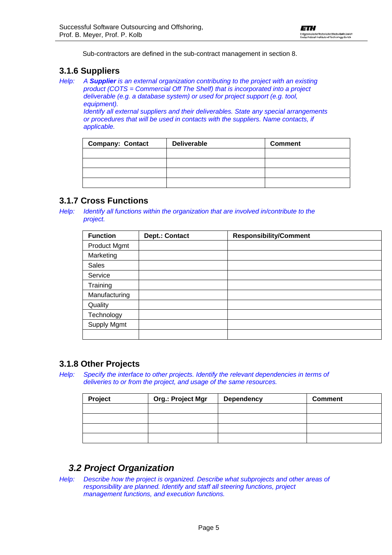Sub-contractors are defined in the sub-contract management in section 8.

#### <span id="page-4-0"></span>**3.1.6 Suppliers**

*Help: A Supplier is an external organization contributing to the project with an existing product (COTS = Commercial Off The Shelf) that is incorporated into a project deliverable (e.g. a database system) or used for project support (e.g. tool, equipment). Identify all external suppliers and their deliverables. State any special arrangements* 

*or procedures that will be used in contacts with the suppliers. Name contacts, if applicable.* 

| <b>Company: Contact</b> | <b>Deliverable</b> | <b>Comment</b> |
|-------------------------|--------------------|----------------|
|                         |                    |                |
|                         |                    |                |
|                         |                    |                |
|                         |                    |                |

### **3.1.7 Cross Functions**

*Help: Identify all functions within the organization that are involved in/contribute to the project.* 

| <b>Function</b>     | <b>Dept.: Contact</b> | <b>Responsibility/Comment</b> |  |
|---------------------|-----------------------|-------------------------------|--|
| <b>Product Mgmt</b> |                       |                               |  |
| Marketing           |                       |                               |  |
| <b>Sales</b>        |                       |                               |  |
| Service             |                       |                               |  |
| Training            |                       |                               |  |
| Manufacturing       |                       |                               |  |
| Quality             |                       |                               |  |
| Technology          |                       |                               |  |
| <b>Supply Mgmt</b>  |                       |                               |  |
|                     |                       |                               |  |

### **3.1.8 Other Projects**

*Help: Specify the interface to other projects. Identify the relevant dependencies in terms of deliveries to or from the project, and usage of the same resources.* 

| Project | Org.: Project Mgr | <b>Dependency</b> | <b>Comment</b> |
|---------|-------------------|-------------------|----------------|
|         |                   |                   |                |
|         |                   |                   |                |
|         |                   |                   |                |
|         |                   |                   |                |

### *3.2 Project Organization*

*Help: Describe how the project is organized. Describe what subprojects and other areas of responsibility are planned. Identify and staff all steering functions, project management functions, and execution functions.*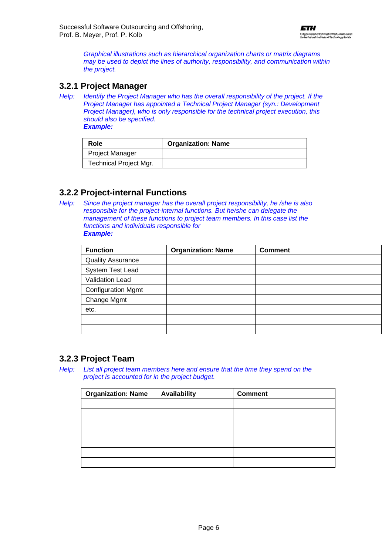<span id="page-5-0"></span>*Graphical illustrations such as hierarchical organization charts or matrix diagrams may be used to depict the lines of authority, responsibility, and communication within the project.* 

#### **3.2.1 Project Manager**

*Help: Identify the Project Manager who has the overall responsibility of the project. If the Project Manager has appointed a Technical Project Manager (syn.: Development Project Manager), who is only responsible for the technical project execution, this should also be specified. Example:* 

| Role                   | <b>Organization: Name</b> |
|------------------------|---------------------------|
| <b>Project Manager</b> |                           |
| Technical Project Mgr. |                           |

### **3.2.2 Project-internal Functions**

*Help: Since the project manager has the overall project responsibility, he /she is also responsible for the project-internal functions. But he/she can delegate the management of these functions to project team members. In this case list the functions and individuals responsible for Example:* 

| <b>Function</b>           | <b>Organization: Name</b> | <b>Comment</b> |
|---------------------------|---------------------------|----------------|
| <b>Quality Assurance</b>  |                           |                |
| System Test Lead          |                           |                |
| Validation Lead           |                           |                |
| <b>Configuration Mgmt</b> |                           |                |
| Change Mgmt               |                           |                |
| etc.                      |                           |                |
|                           |                           |                |
|                           |                           |                |

### **3.2.3 Project Team**

*Help: List all project team members here and ensure that the time they spend on the project is accounted for in the project budget.*

| <b>Organization: Name</b> | <b>Availability</b> | <b>Comment</b> |
|---------------------------|---------------------|----------------|
|                           |                     |                |
|                           |                     |                |
|                           |                     |                |
|                           |                     |                |
|                           |                     |                |
|                           |                     |                |
|                           |                     |                |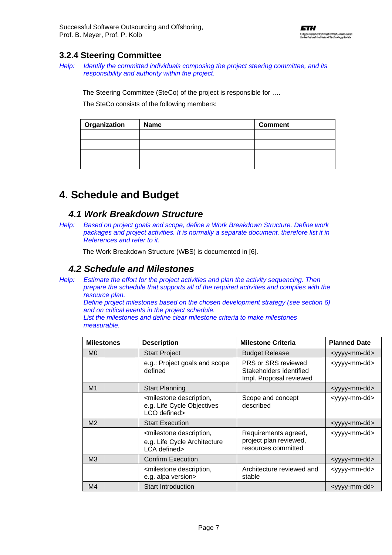### <span id="page-6-0"></span>**3.2.4 Steering Committee**

*Help: Identify the committed individuals composing the project steering committee, and its responsibility and authority within the project.* 

The Steering Committee (SteCo) of the project is responsible for ….

The SteCo consists of the following members:

| Organization | <b>Name</b> | <b>Comment</b> |
|--------------|-------------|----------------|
|              |             |                |
|              |             |                |
|              |             |                |
|              |             |                |

# **4. Schedule and Budget**

### *4.1 Work Breakdown Structure*

*Help: Based on project goals and scope, define a Work Breakdown Structure. Define work packages and project activities. It is normally a separate document, therefore list it in References and refer to it.*

The Work Breakdown Structure (WBS) is documented in [\[6\].](#page-11-3)

### *4.2 Schedule and Milestones*

*Help: Estimate the effort for the project activities and plan the activity sequencing. Then prepare the schedule that supports all of the required activities and complies with the resource plan.* 

*Define project milestones based on the chosen development strategy (see section 6) and on critical events in the project schedule.* 

*List the milestones and define clear milestone criteria to make milestones measurable.* 

| <b>Milestones</b> | <b>Description</b>                                                                         | <b>Milestone Criteria</b>                                                 | <b>Planned Date</b>       |
|-------------------|--------------------------------------------------------------------------------------------|---------------------------------------------------------------------------|---------------------------|
| M <sub>0</sub>    | <b>Start Project</b>                                                                       | <b>Budget Release</b>                                                     | <yyyy-mm-dd></yyyy-mm-dd> |
|                   | e.g.: Project goals and scope<br>defined                                                   | PRS or SRS reviewed<br>Stakeholders identified<br>Impl. Proposal reviewed | <yyyy-mm-dd></yyyy-mm-dd> |
| M <sub>1</sub>    | <b>Start Planning</b>                                                                      |                                                                           | <yyyy-mm-dd></yyyy-mm-dd> |
|                   | <milestone description,<br="">e.g. Life Cycle Objectives<br/>LCO defined&gt;</milestone>   | Scope and concept<br>described                                            | <yyyy-mm-dd></yyyy-mm-dd> |
| M <sub>2</sub>    | <b>Start Execution</b>                                                                     |                                                                           | <yyyy-mm-dd></yyyy-mm-dd> |
|                   | <milestone description,<br="">e.g. Life Cycle Architecture<br/>LCA defined&gt;</milestone> | Requirements agreed,<br>project plan reviewed,<br>resources committed     | <yyyy-mm-dd></yyyy-mm-dd> |
| M <sub>3</sub>    | <b>Confirm Execution</b>                                                                   |                                                                           | <yyyy-mm-dd></yyyy-mm-dd> |
|                   | <milestone description,<br="">e.g. alpa version&gt;</milestone>                            | Architecture reviewed and<br>stable                                       | <yyyy-mm-dd></yyyy-mm-dd> |
| M <sub>4</sub>    | <b>Start Introduction</b>                                                                  |                                                                           | <yyyy-mm-dd></yyyy-mm-dd> |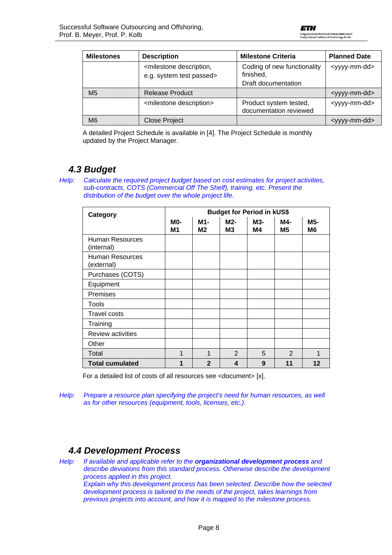<span id="page-7-0"></span>

| <b>Milestones</b> | <b>Description</b>                                                    | <b>Milestone Criteria</b>                        | <b>Planned Date</b>       |
|-------------------|-----------------------------------------------------------------------|--------------------------------------------------|---------------------------|
|                   | <milestone description,<br="">e.g. system test passed&gt;</milestone> | Coding of new functionality<br>finished,         | <yyyy-mm-dd></yyyy-mm-dd> |
|                   |                                                                       | Draft documentation                              |                           |
| M <sub>5</sub>    | <b>Release Product</b>                                                |                                                  | <yyyy-mm-dd></yyyy-mm-dd> |
|                   | <milestone description=""></milestone>                                | Product system tested,<br>documentation reviewed | <yyyy-mm-dd></yyyy-mm-dd> |
| M <sub>6</sub>    | <b>Close Project</b>                                                  |                                                  | <yyyy-mm-dd></yyyy-mm-dd> |

A detailed Project Schedule is available in [\[4\].](#page-11-4) The Project Schedule is monthly updated by the Project Manager.

### *4.3 Budget*

*Help: Calculate the required project budget based on cost estimates for project activities, sub-contracts, COTS (Commercial Off The Shelf), training, etc. Present the distribution of the budget over the whole project life.* 

| Category                             | <b>Budget for Period in kUS\$</b> |                  |                       |                  |                       |           |
|--------------------------------------|-----------------------------------|------------------|-----------------------|------------------|-----------------------|-----------|
|                                      | <b>MO-</b><br>M1                  | M1-<br><b>M2</b> | M2-<br>M <sub>3</sub> | <b>M3-</b><br>M4 | M4-<br>M <sub>5</sub> | M5-<br>M6 |
| Human Resources<br>(internal)        |                                   |                  |                       |                  |                       |           |
| <b>Human Resources</b><br>(external) |                                   |                  |                       |                  |                       |           |
| Purchases (COTS)                     |                                   |                  |                       |                  |                       |           |
| Equipment                            |                                   |                  |                       |                  |                       |           |
| <b>Premises</b>                      |                                   |                  |                       |                  |                       |           |
| Tools                                |                                   |                  |                       |                  |                       |           |
| <b>Travel costs</b>                  |                                   |                  |                       |                  |                       |           |
| Training                             |                                   |                  |                       |                  |                       |           |
| <b>Review activities</b>             |                                   |                  |                       |                  |                       |           |
| Other                                |                                   |                  |                       |                  |                       |           |
| Total                                | 1                                 | 1                | 2                     | 5                | 2                     |           |
| <b>Total cumulated</b>               | 1                                 | $\mathbf{2}$     | 4                     | 9                | 11                    | 12        |

For a detailed list of costs of all resources see <document> [x].

*Help:* Prepare a resource plan specifying the project's need for human resources, as well *as for other resources (equipment, tools, licenses, etc.).* 

### *4.4 Development Process*

*Help: If available and applicable refer to the organizational development process and describe deviations from this standard process. Otherwise describe the development process applied in this project. Explain why this development process has been selected. Describe how the selected development process is tailored to the needs of the project, takes learnings from previous projects into account, and how it is mapped to the milestone process.*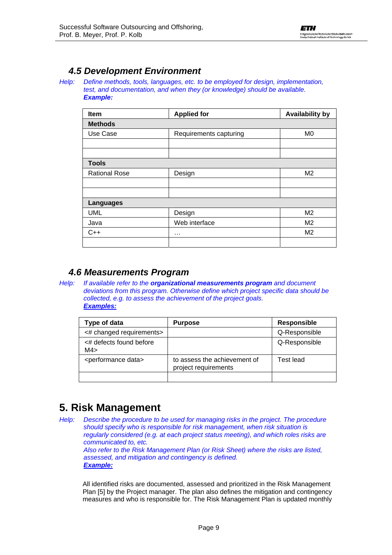### <span id="page-8-0"></span>*4.5 Development Environment*

*Help: Define methods, tools, languages, etc. to be employed for design, implementation, test, and documentation, and when they (or knowledge) should be available. Example:* 

| Item                 | <b>Applied for</b>     | <b>Availability by</b> |
|----------------------|------------------------|------------------------|
| <b>Methods</b>       |                        |                        |
| Use Case             | Requirements capturing | M <sub>0</sub>         |
|                      |                        |                        |
|                      |                        |                        |
| <b>Tools</b>         |                        |                        |
| <b>Rational Rose</b> | Design                 | M <sub>2</sub>         |
|                      |                        |                        |
|                      |                        |                        |
| <b>Languages</b>     |                        |                        |
| <b>UML</b>           | Design                 | M <sub>2</sub>         |
| Java                 | Web interface          | M <sub>2</sub>         |
| $C++$                | $\cdots$               | M <sub>2</sub>         |
|                      |                        |                        |

### *4.6 Measurements Program*

*Help: If available refer to the organizational measurements program and document deviations from this program. Otherwise define which project specific data should be collected, e.g. to assess the achievement of the project goals. Examples:*

| Type of data                        | <b>Purpose</b>                                       | <b>Responsible</b> |
|-------------------------------------|------------------------------------------------------|--------------------|
| <# changed requirements>            |                                                      | Q-Responsible      |
| <# defects found before<br>M4>      |                                                      | Q-Responsible      |
| <performance data=""></performance> | to assess the achievement of<br>project requirements | Test lead          |
|                                     |                                                      |                    |

# **5. Risk Management**

*Help: Describe the procedure to be used for managing risks in the project. The procedure should specify who is responsible for risk management, when risk situation is regularly considered (e.g. at each project status meeting), and which roles risks are communicated to, etc. Also refer to the Risk Management Plan (or Risk Sheet) where the risks are listed, assessed, and mitigation and contingency is defined. Example:*

All identified risks are documented, assessed and prioritized in the Risk Management Plan [\[5\]](#page-11-5) by the Project manager. The plan also defines the mitigation and contingency measures and who is responsible for. The Risk Management Plan is updated monthly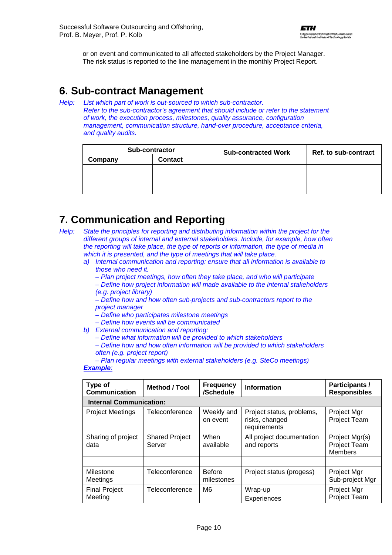<span id="page-9-0"></span>or on event and communicated to all affected stakeholders by the Project Manager. The risk status is reported to the line management in the monthly Project Report.

# **6. Sub-contract Management**

*Help: List which part of work is out-sourced to which sub-contractor. Refer to the sub-contractor's agreement that should include or refer to the statement of work, the execution process, milestones, quality assurance, configuration management, communication structure, hand-over procedure, acceptance criteria, and quality audits.* 

| <b>Sub-contractor</b> |                | <b>Sub-contracted Work</b> | Ref. to sub-contract |
|-----------------------|----------------|----------------------------|----------------------|
| Company               | <b>Contact</b> |                            |                      |
|                       |                |                            |                      |
|                       |                |                            |                      |
|                       |                |                            |                      |

# **7. Communication and Reporting**

*Help: State the principles for reporting and distributing information within the project for the different groups of internal and external stakeholders. Include, for example, how often the reporting will take place, the type of reports or information, the type of media in which it is presented, and the type of meetings that will take place.* 

- *a) Internal communication and reporting: ensure that all information is available to those who need it.* 
	- *Plan project meetings, how often they take place, and who will participate*
	- *Define how project information will made available to the internal stakeholders (e.g. project library)*
	- *Define how and how often sub-projects and sub-contractors report to the project manager*
	- *Define who participates milestone meetings*
	- *Define how events will be communicated*
- *b) External communication and reporting:* 
	- *Define what information will be provided to which stakeholders*

*– Define how and how often information will be provided to which stakeholders often (e.g. project report)* 

#### *– Plan regular meetings with external stakeholders (e.g. SteCo meetings) Example:*

| Type of<br><b>Communication</b> | <b>Method / Tool</b>            | <b>Frequency</b><br>/Schedule | <b>Information</b>                                          | <b>Participants /</b><br><b>Responsibles</b>     |  |  |
|---------------------------------|---------------------------------|-------------------------------|-------------------------------------------------------------|--------------------------------------------------|--|--|
| <b>Internal Communication:</b>  |                                 |                               |                                                             |                                                  |  |  |
| <b>Project Meetings</b>         | Teleconference                  | Weekly and<br>on event        | Project status, problems,<br>risks, changed<br>requirements | Project Mgr<br>Project Team                      |  |  |
| Sharing of project<br>data      | <b>Shared Project</b><br>Server | When<br>available             | All project documentation<br>and reports                    | Project Mgr(s)<br>Project Team<br><b>Members</b> |  |  |
|                                 |                                 |                               |                                                             |                                                  |  |  |
| Milestone<br>Meetings           | Teleconference                  | <b>Before</b><br>milestones   | Project status (progess)                                    | Project Mgr<br>Sub-project Mgr                   |  |  |
| <b>Final Project</b><br>Meeting | Teleconference                  | M6                            | Wrap-up<br>Experiences                                      | Project Mgr<br>Project Team                      |  |  |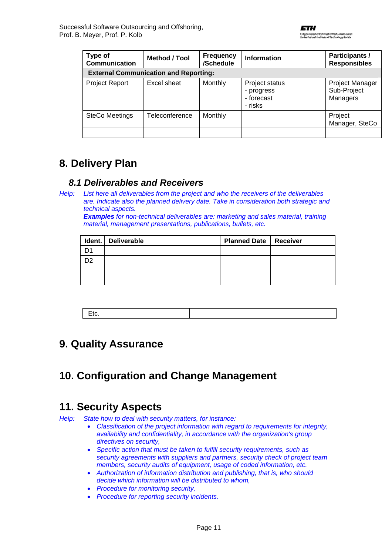<span id="page-10-0"></span>

| Type of<br><b>Communication</b> | <b>Method / Tool</b>                         | <b>Frequency</b><br>/Schedule | <b>Information</b>                                    | <b>Participants /</b><br><b>Responsibles</b> |
|---------------------------------|----------------------------------------------|-------------------------------|-------------------------------------------------------|----------------------------------------------|
|                                 | <b>External Communication and Reporting:</b> |                               |                                                       |                                              |
| <b>Project Report</b>           | Excel sheet                                  | Monthly                       | Project status<br>- progress<br>- forecast<br>- risks | Project Manager<br>Sub-Project<br>Managers   |
| <b>SteCo Meetings</b>           | Teleconference                               | Monthly                       |                                                       | Project<br>Manager, SteCo                    |
|                                 |                                              |                               |                                                       |                                              |

# **8. Delivery Plan**

### *8.1 Deliverables and Receivers*

*Help: List here all deliverables from the project and who the receivers of the deliverables are. Indicate also the planned delivery date. Take in consideration both strategic and technical aspects.*

*Examples for non-technical deliverables are: marketing and sales material, training material, management presentations, publications, bullets, etc.* 

|     | Ident. Deliverable | <b>Planned Date   Receiver</b> |  |
|-----|--------------------|--------------------------------|--|
| D1  |                    |                                |  |
| מרי |                    |                                |  |
|     |                    |                                |  |
|     |                    |                                |  |

### **9. Quality Assurance**

# **10. Configuration and Change Management**

### **11. Security Aspects**

*Help: State how to deal with security matters, for instance:* 

- *Classification of the project information with regard to requirements for integrity, availability and confidentiality, in accordance with the organization's group directives on security,*
- *Specific action that must be taken to fulfill security requirements, such as security agreements with suppliers and partners, security check of project team members, security audits of equipment, usage of coded information, etc.*
- *Authorization of information distribution and publishing, that is, who should decide which information will be distributed to whom,*
- *Procedure for monitoring security,*
- *Procedure for reporting security incidents.*